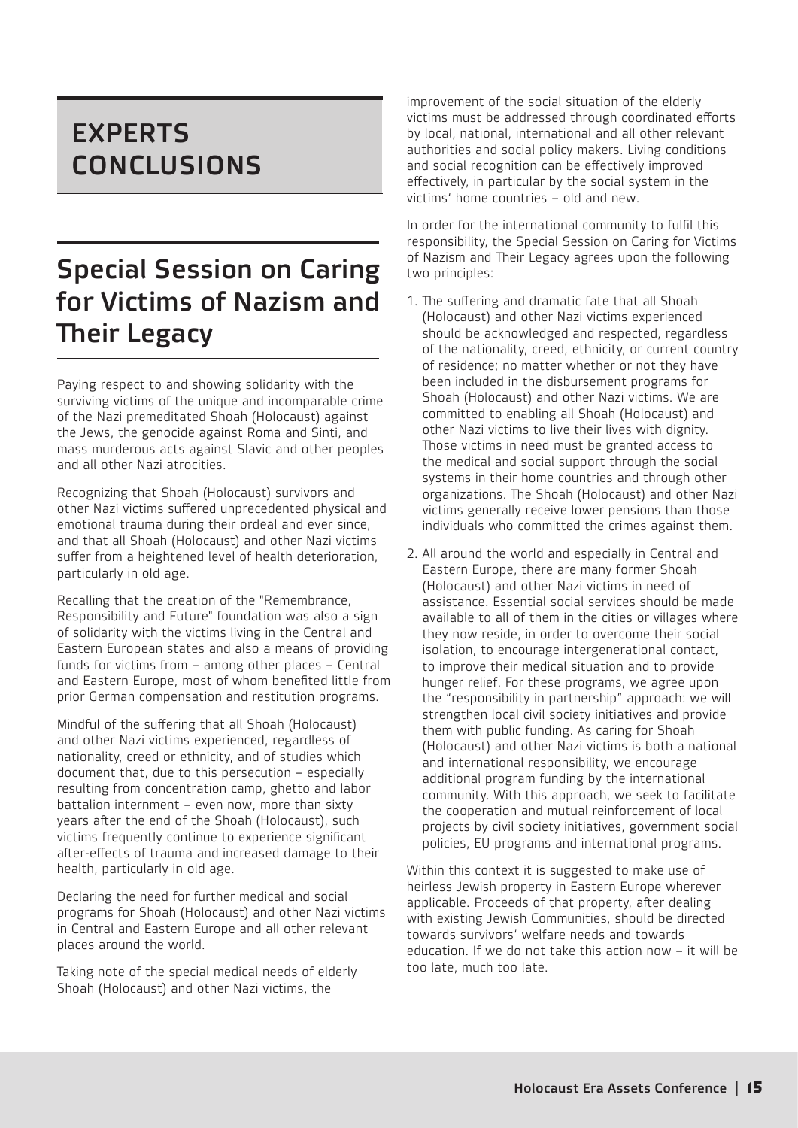## EXPERTS **CONCLUSIONS**

# Special Session on Caring for Victims of Nazism and Their Legacy

Paying respect to and showing solidarity with the surviving victims of the unique and incomparable crime of the Nazi premeditated Shoah (Holocaust) against the Jews, the genocide against Roma and Sinti, and mass murderous acts against Slavic and other peoples and all other Nazi atrocities.

Recognizing that Shoah (Holocaust) survivors and other Nazi victims suffered unprecedented physical and emotional trauma during their ordeal and ever since, and that all Shoah (Holocaust) and other Nazi victims suffer from a heightened level of health deterioration, particularly in old age.

Recalling that the creation of the "Remembrance, Responsibility and Future" foundation was also a sign of solidarity with the victims living in the Central and Eastern European states and also a means of providing funds for victims from – among other places – Central and Eastern Europe, most of whom benefited little from prior German compensation and restitution programs.

Mindful of the suffering that all Shoah (Holocaust) and other Nazi victims experienced, regardless of nationality, creed or ethnicity, and of studies which document that, due to this persecution – especially resulting from concentration camp, ghetto and labor battalion internment – even now, more than sixty years after the end of the Shoah (Holocaust), such victims frequently continue to experience significant after-effects of trauma and increased damage to their health, particularly in old age.

Declaring the need for further medical and social programs for Shoah (Holocaust) and other Nazi victims in Central and Eastern Europe and all other relevant places around the world.

Taking note of the special medical needs of elderly Shoah (Holocaust) and other Nazi victims, the

improvement of the social situation of the elderly victims must be addressed through coordinated efforts by local, national, international and all other relevant authorities and social policy makers. Living conditions and social recognition can be effectively improved effectively, in particular by the social system in the victims' home countries – old and new.

In order for the international community to fulfil this responsibility, the Special Session on Caring for Victims of Nazism and Their Legacy agrees upon the following two principles:

- 1. The suffering and dramatic fate that all Shoah (Holocaust) and other Nazi victims experienced should be acknowledged and respected, regardless of the nationality, creed, ethnicity, or current country of residence; no matter whether or not they have been included in the disbursement programs for Shoah (Holocaust) and other Nazi victims. We are committed to enabling all Shoah (Holocaust) and other Nazi victims to live their lives with dignity. Those victims in need must be granted access to the medical and social support through the social systems in their home countries and through other  $\overline{\text{or}}$  ganizations. The Shoah (Holocaust) and other Nazi victims generally receive lower pensions than those individuals who committed the crimes against them.
- 2. All around the world and especially in Central and Eastern Europe, there are many former Shoah (Holocaust) and other Nazi victims in need of assistance. Essential social services should be made available to all of them in the cities or villages where they now reside, in order to overcome their social isolation, to encourage intergenerational contact, to improve their medical situation and to provide hunger relief. For these programs, we agree upon the "responsibility in partnership" approach: we will strengthen local civil society initiatives and provide them with public funding. As caring for Shoah (Holocaust) and other Nazi victims is both a national and international responsibility, we encourage additional program funding by the international community. With this approach, we seek to facilitate the cooperation and mutual reinforcement of local projects by civil society initiatives, government social policies, EU programs and international programs.

Within this context it is suggested to make use of heirless Jewish property in Eastern Europe wherever applicable. Proceeds of that property, after dealing with existing Jewish Communities, should be directed towards survivors' welfare needs and towards education. If we do not take this action now – it will be too late, much too late.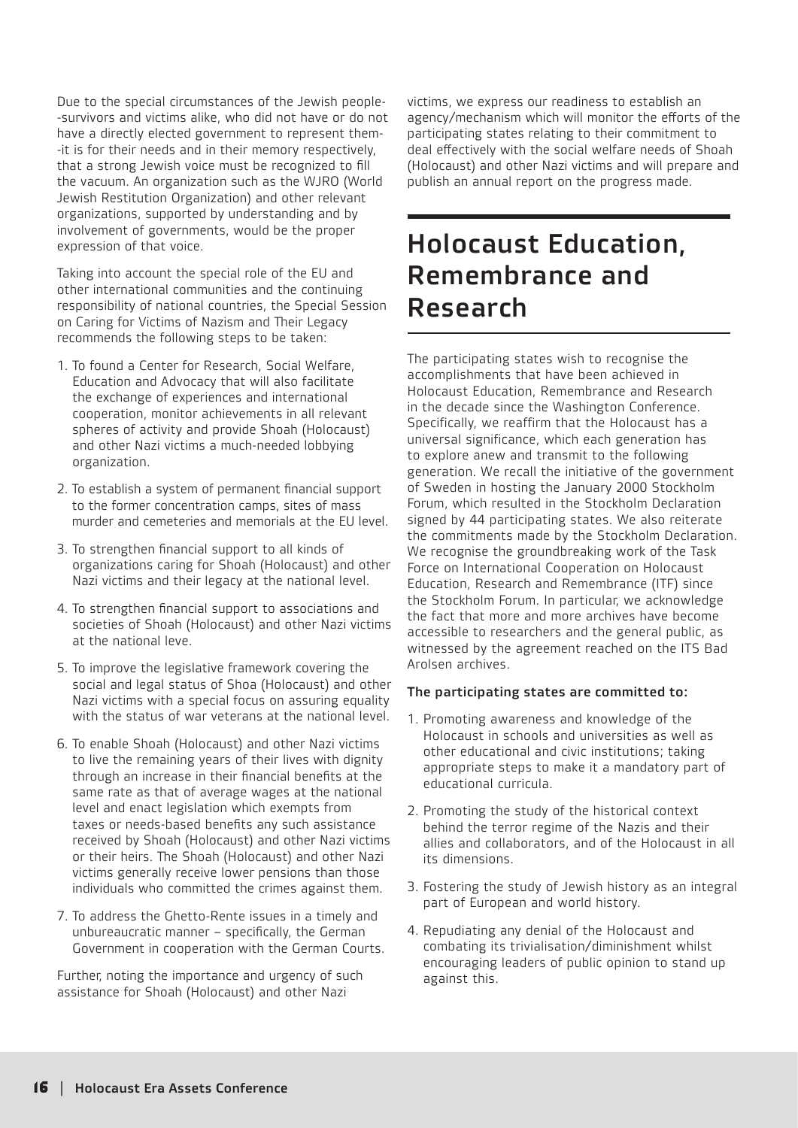Due to the special circumstances of the Jewish people- -survivors and victims alike, who did not have or do not have a directly elected government to represent them- -it is for their needs and in their memory respectively, that a strong Jewish voice must be recognized to fill the vacuum. An organization such as the WJRO (World Jewish Restitution Organization) and other relevant organizations, supported by understanding and by involvement of governments, would be the proper expression of that voice.

Taking into account the special role of the EU and other international communities and the continuing responsibility of national countries, the Special Session on Caring for Victims of Nazism and Their Legacy recommends the following steps to be taken:

- 1. To found a Center for Research, Social Welfare, Education and Advocacy that will also facilitate the exchange of experiences and international cooperation, monitor achievements in all relevant spheres of activity and provide Shoah (Holocaust) and other Nazi victims a much-needed lobbying organization.
- 2. To establish a system of permanent financial support to the former concentration camps, sites of mass murder and cemeteries and memorials at the EU level.
- 3. To strengthen financial support to all kinds of organizations caring for Shoah (Holocaust) and other Nazi victims and their legacy at the national level.
- 4. To strengthen financial support to associations and societies of Shoah (Holocaust) and other Nazi victims at the national leve.
- 5. To improve the legislative framework covering the social and legal status of Shoa (Holocaust) and other Nazi victims with a special focus on assuring equality with the status of war veterans at the national level.
- 6. To enable Shoah (Holocaust) and other Nazi victims to live the remaining years of their lives with dignity through an increase in their financial benefits at the same rate as that of average wages at the national level and enact legislation which exempts from taxes or needs-based benefits any such assistance received by Shoah (Holocaust) and other Nazi victims or their heirs. The Shoah (Holocaust) and other Nazi victims generally receive lower pensions than those individuals who committed the crimes against them.
- 7. To address the Ghetto-Rente issues in a timely and unbureaucratic manner  $-$  specifically, the German Government in cooperation with the German Courts.

Further, noting the importance and urgency of such assistance for Shoah (Holocaust) and other Nazi

victims, we express our readiness to establish an agency/mechanism which will monitor the efforts of the participating states relating to their commitment to deal effectively with the social welfare needs of Shoah (Holocaust) and other Nazi victims and will prepare and publish an annual report on the progress made.

### Holocaust Education, Remembrance and Research

The participating states wish to recognise the accomplishments that have been achieved in Holocaust Education, Remembrance and Research in the decade since the Washington Conference. Specifically, we reaffirm that the Holocaust has a universal significance, which each generation has to explore anew and transmit to the following generation. We recall the initiative of the government of Sweden in hosting the January 2000 Stockholm Forum, which resulted in the Stockholm Declaration signed by 44 participating states. We also reiterate the commitments made by the Stockholm Declaration. We recognise the groundbreaking work of the Task Force on International Cooperation on Holocaust Education, Research and Remembrance (ITF) since the Stockholm Forum. In particular, we acknowledge the fact that more and more archives have become accessible to researchers and the general public, as witnessed by the agreement reached on the ITS Bad Arolsen archives.

#### The participating states are committed to:

- 1. Promoting awareness and knowledge of the Holocaust in schools and universities as well as other educational and civic institutions; taking appropriate steps to make it a mandatory part of educational curricula.
- 2. Promoting the study of the historical context behind the terror regime of the Nazis and their allies and collaborators, and of the Holocaust in all its dimensions.
- 3. Fostering the study of Jewish history as an integral part of European and world history.
- 4. Repudiating any denial of the Holocaust and combating its trivialisation/diminishment whilst encouraging leaders of public opinion to stand up against this.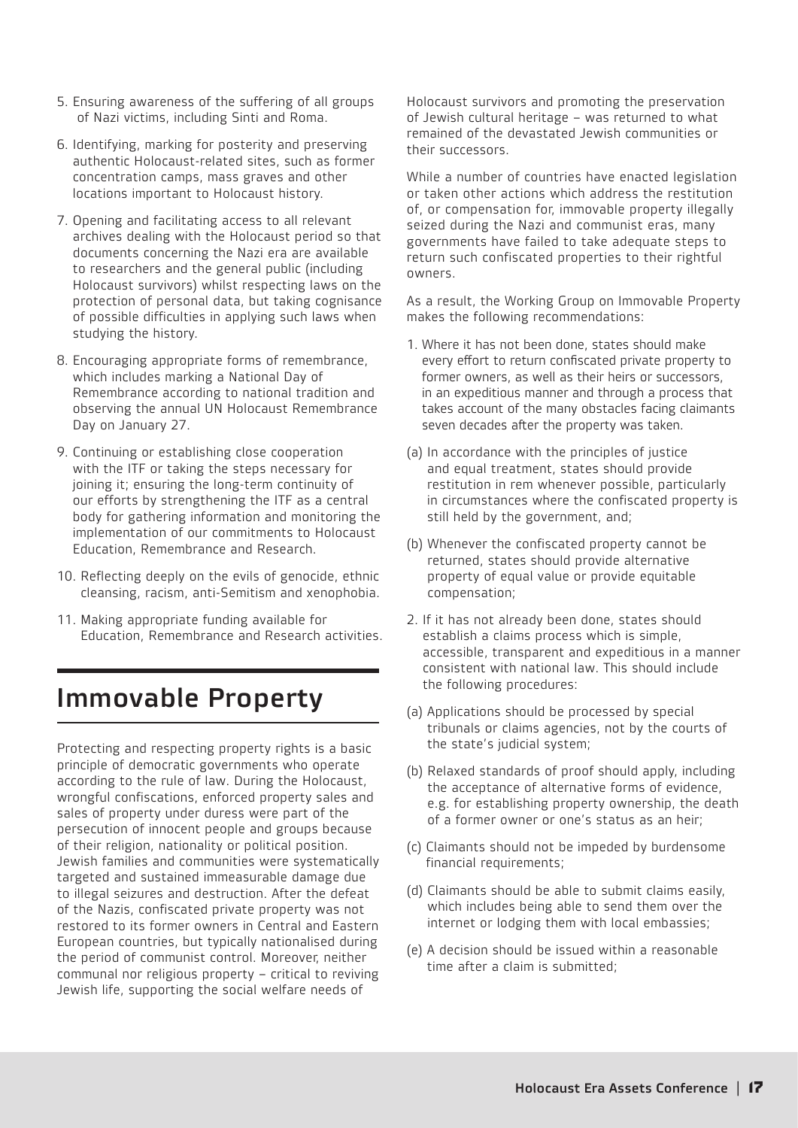- 5. Ensuring awareness of the suffering of all groups of Nazi victims, including Sinti and Roma.
- 6. Identifying, marking for posterity and preserving authentic Holocaust-related sites, such as former concentration camps, mass graves and other locations important to Holocaust history.
- 7. Opening and facilitating access to all relevant archives dealing with the Holocaust period so that documents concerning the Nazi era are available to researchers and the general public (including Holocaust survivors) whilst respecting laws on the protection of personal data, but taking cognisance of possible difficulties in applying such laws when studying the history.
- 8. Encouraging appropriate forms of remembrance, which includes marking a National Day of Remembrance according to national tradition and observing the annual UN Holocaust Remembrance Day on January 27.
- 9. Continuing or establishing close cooperation with the ITF or taking the steps necessary for joining it; ensuring the long-term continuity of our efforts by strengthening the ITF as a central body for gathering information and monitoring the implementation of our commitments to Holocaust Education, Remembrance and Research.
- 10. Reflecting deeply on the evils of genocide, ethnic cleansing, racism, anti-Semitism and xenophobia.
- 11. Making appropriate funding available for Education, Remembrance and Research activities.

### Immovable Property

Protecting and respecting property rights is a basic principle of democratic governments who operate according to the rule of law. During the Holocaust, wrongful confiscations, enforced property sales and sales of property under duress were part of the persecution of innocent people and groups because of their religion, nationality or political position. Jewish families and communities were systematically targeted and sustained immeasurable damage due to illegal seizures and destruction. After the defeat of the Nazis, confiscated private property was not restored to its former owners in Central and Eastern European countries, but typically nationalised during the period of communist control. Moreover, neither communal nor religious property – critical to reviving Jewish life, supporting the social welfare needs of

Holocaust survivors and promoting the preservation of Jewish cultural heritage – was returned to what remained of the devastated Jewish communities or their successors.

While a number of countries have enacted legislation or taken other actions which address the restitution of, or compensation for, immovable property illegally seized during the Nazi and communist eras, many governments have failed to take adequate steps to return such confiscated properties to their rightful owners.

As a result, the Working Group on Immovable Property makes the following recommendations:

- 1. Where it has not been done, states should make every effort to return confiscated private property to former owners, as well as their heirs or successors, in an expeditious manner and through a process that takes account of the many obstacles facing claimants seven decades after the property was taken.
- (a) In accordance with the principles of justice and equal treatment, states should provide restitution in rem whenever possible, particularly in circumstances where the confiscated property is still held by the government, and;
- (b) Whenever the confiscated property cannot be returned, states should provide alternative property of equal value or provide equitable compensation;
- 2. If it has not already been done, states should establish a claims process which is simple, accessible, transparent and expeditious in a manner consistent with national law. This should include the following procedures:
- (a) Applications should be processed by special tribunals or claims agencies, not by the courts of the state's judicial system;
- (b) Relaxed standards of proof should apply, including the acceptance of alternative forms of evidence, e.g. for establishing property ownership, the death of a former owner or one's status as an heir;
- (c) Claimants should not be impeded by burdensome financial requirements;
- (d) Claimants should be able to submit claims easily, which includes being able to send them over the internet or lodging them with local embassies;
- (e) A decision should be issued within a reasonable time after a claim is submitted;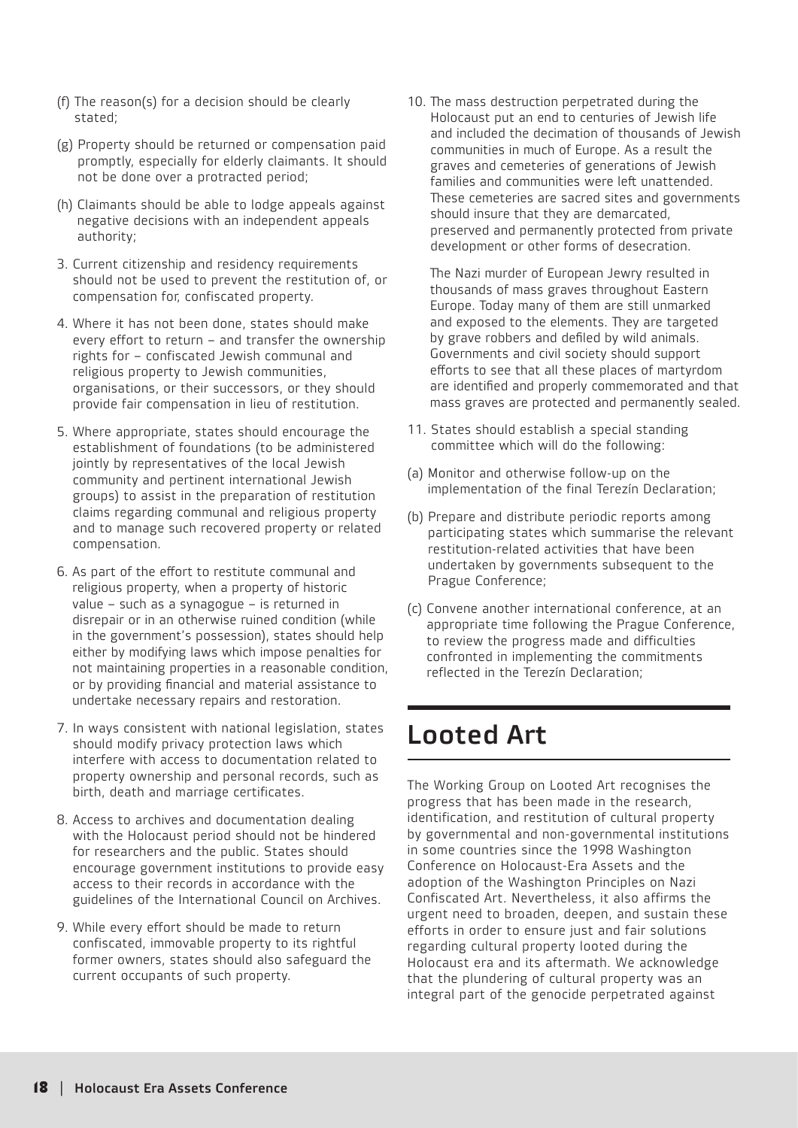- (f) The reason(s) for a decision should be clearly stated;
- (g) Property should be returned or compensation paid promptly, especially for elderly claimants. It should not be done over a protracted period;
- (h) Claimants should be able to lodge appeals against negative decisions with an independent appeals authority;
- 3. Current citizenship and residency requirements should not be used to prevent the restitution of, or compensation for, confiscated property.
- 4. Where it has not been done, states should make every effort to return – and transfer the ownership rights for – confiscated Jewish communal and religious property to Jewish communities, organisations, or their successors, or they should provide fair compensation in lieu of restitution.
- 5. Where appropriate, states should encourage the establishment of foundations (to be administered jointly by representatives of the local Jewish community and pertinent international Jewish groups) to assist in the preparation of restitution claims regarding communal and religious property and to manage such recovered property or related compensation.
- 6. As part of the effort to restitute communal and religious property, when a property of historic value – such as a synagogue – is returned in disrepair or in an otherwise ruined condition (while in the government's possession), states should help either by modifying laws which impose penalties for not maintaining properties in a reasonable condition, or by providing financial and material assistance to undertake necessary repairs and restoration.
- 7. In ways consistent with national legislation, states should modify privacy protection laws which interfere with access to documentation related to property ownership and personal records, such as birth, death and marriage certificates.
- 8. Access to archives and documentation dealing with the Holocaust period should not be hindered for researchers and the public. States should encourage government institutions to provide easy access to their records in accordance with the guidelines of the International Council on Archives.
- 9. While every effort should be made to return confiscated, immovable property to its rightful former owners, states should also safeguard the current occupants of such property.

10. The mass destruction perpetrated during the Holocaust put an end to centuries of Jewish life and included the decimation of thousands of Jewish communities in much of Europe. As a result the graves and cemeteries of generations of Jewish families and communities were left unattended. These cemeteries are sacred sites and governments should insure that they are demarcated, preserved and permanently protected from private development or other forms of desecration.

The Nazi murder of European Jewry resulted in thousands of mass graves throughout Eastern Europe. Today many of them are still unmarked and exposed to the elements. They are targeted by grave robbers and defiled by wild animals. Governments and civil society should support efforts to see that all these places of martyrdom are identified and properly commemorated and that mass graves are protected and permanently sealed.

- 11. States should establish a special standing committee which will do the following:
- (a) Monitor and otherwise follow-up on the implementation of the final Terezín Declaration;
- (b) Prepare and distribute periodic reports among participating states which summarise the relevant restitution-related activities that have been undertaken by governments subsequent to the Prague Conference;
- (c) Convene another international conference, at an appropriate time following the Prague Conference, to review the progress made and difficulties confronted in implementing the commitments reflected in the Terezín Declaration;

#### Looted Art

The Working Group on Looted Art recognises the progress that has been made in the research, identification, and restitution of cultural property by governmental and non-governmental institutions in some countries since the 1998 Washington Conference on Holocaust-Era Assets and the adoption of the Washington Principles on Nazi Confiscated Art. Nevertheless, it also affirms the urgent need to broaden, deepen, and sustain these efforts in order to ensure just and fair solutions regarding cultural property looted during the Holocaust era and its aftermath. We acknowledge that the plundering of cultural property was an integral part of the genocide perpetrated against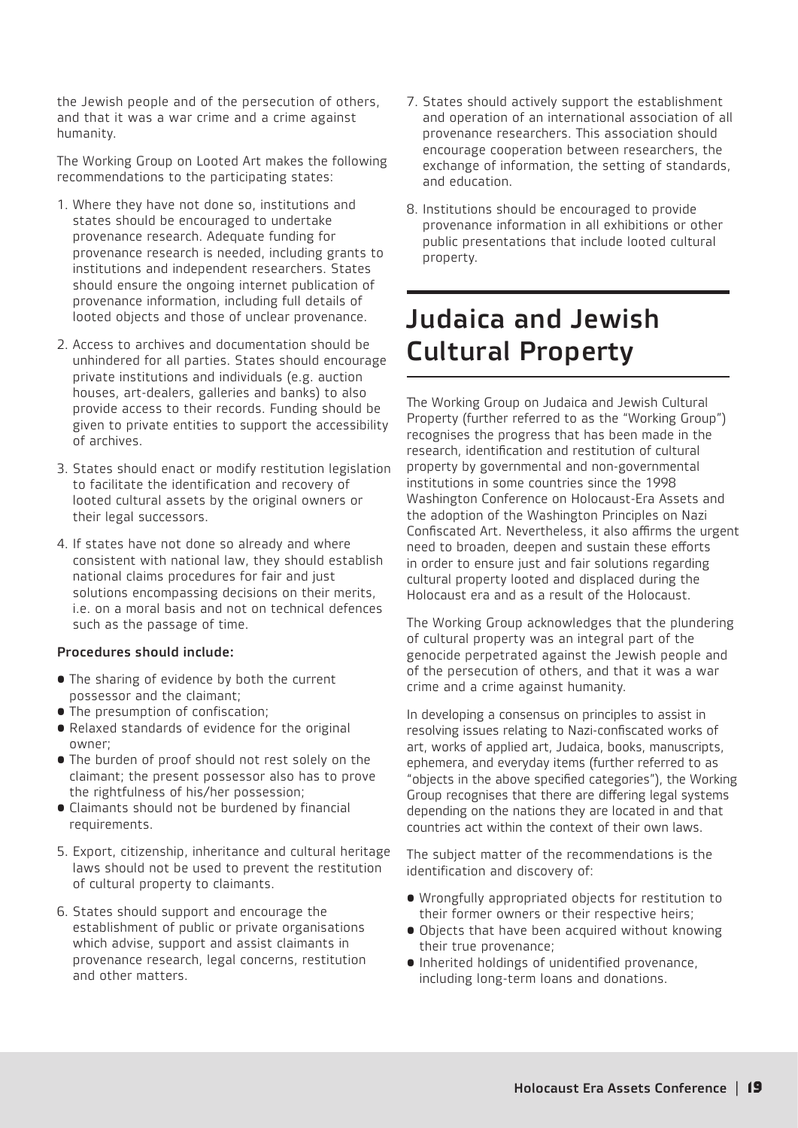the Jewish people and of the persecution of others, and that it was a war crime and a crime against humanity.

The Working Group on Looted Art makes the following recommendations to the participating states:

- 1. Where they have not done so, institutions and states should be encouraged to undertake provenance research. Adequate funding for provenance research is needed, including grants to institutions and independent researchers. States should ensure the ongoing internet publication of provenance information, including full details of looted objects and those of unclear provenance.
- 2. Access to archives and documentation should be unhindered for all parties. States should encourage private institutions and individuals (e.g. auction houses, art-dealers, galleries and banks) to also provide access to their records. Funding should be given to private entities to support the accessibility of archives.
- 3. States should enact or modify restitution legislation to facilitate the identification and recovery of looted cultural assets by the original owners or their legal successors.
- 4. If states have not done so already and where consistent with national law, they should establish national claims procedures for fair and just solutions encompassing decisions on their merits, i.e. on a moral basis and not on technical defences such as the passage of time.

#### Procedures should include:

- The sharing of evidence by both the current possessor and the claimant;
- The presumption of confiscation;
- Relaxed standards of evidence for the original owner;
- The burden of proof should not rest solely on the claimant; the present possessor also has to prove the rightfulness of his/her possession;
- Claimants should not be burdened by financial requirements.
- 5. Export, citizenship, inheritance and cultural heritage laws should not be used to prevent the restitution of cultural property to claimants.
- 6. States should support and encourage the establishment of public or private organisations which advise, support and assist claimants in provenance research, legal concerns, restitution and other matters.
- 7. States should actively support the establishment and operation of an international association of all provenance researchers. This association should encourage cooperation between researchers, the exchange of information, the setting of standards, and education.
- 8. Institutions should be encouraged to provide provenance information in all exhibitions or other public presentations that include looted cultural property.

## Judaica and Jewish Cultural Property

The Working Group on Judaica and Jewish Cultural Property (further referred to as the "Working Group") recognises the progress that has been made in the research, identification and restitution of cultural property by governmental and non-governmental institutions in some countries since the 1998 Washington Conference on Holocaust-Era Assets and the adoption of the Washington Principles on Nazi Confiscated Art. Nevertheless, it also affirms the urgent need to broaden, deepen and sustain these efforts in order to ensure just and fair solutions regarding cultural property looted and displaced during the Holocaust era and as a result of the Holocaust.

The Working Group acknowledges that the plundering of cultural property was an integral part of the genocide perpetrated against the Jewish people and of the persecution of others, and that it was a war crime and a crime against humanity.

In developing a consensus on principles to assist in resolving issues relating to Nazi-confiscated works of art, works of applied art, Judaica, books, manuscripts, ephemera, and everyday items (further referred to as "objects in the above specified categories"), the Working Group recognises that there are differing legal systems depending on the nations they are located in and that countries act within the context of their own laws.

The subject matter of the recommendations is the identification and discovery of:

- Wrongfully appropriated objects for restitution to their former owners or their respective heirs;
- Objects that have been acquired without knowing their true provenance;
- Inherited holdings of unidentified provenance, including long-term loans and donations.